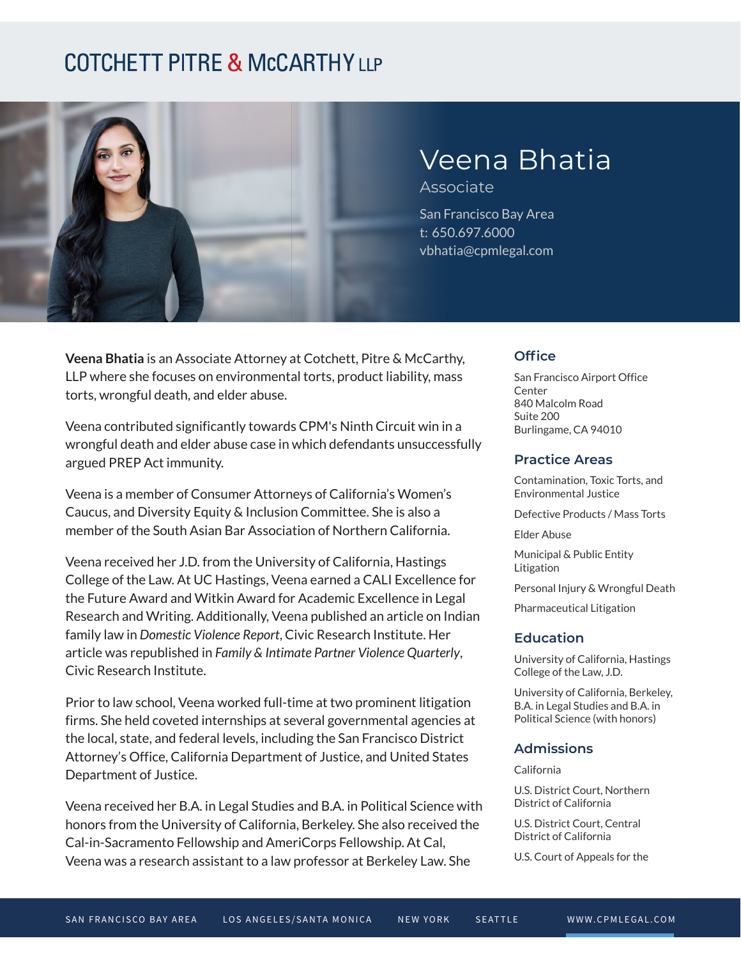## **COTCHETT PITRE & McCARTHY LLP**



# Veena Bhatia

Associate

San Francisco Bay Area t: 650.697.6000 vbhatia@cpmlegal.com

**Veena Bhatia** is an Associate Attorney at Cotchett, Pitre & McCarthy, LLP where she focuses on environmental torts, product liability, mass torts, wrongful death, and elder abuse.

Veena contributed significantly towards CPM's Ninth Circuit win in a wrongful death and elder abuse case in which defendants unsuccessfully argued PREP Act immunity.

Veena is a member of Consumer Attorneys of California's Women's Caucus, and Diversity Equity & Inclusion Committee. She is also a member of the South Asian Bar Association of Northern California.

Veena received her J.D. from the University of California, Hastings College of the Law. At UC Hastings, Veena earned a CALI Excellence for the Future Award and Witkin Award for Academic Excellence in Legal Research and Writing. Additionally, Veena published an article on Indian family law in *Domestic Violence Report*, Civic Research Institute. Her article was republished in *Family & Intimate Partner Violence Quarterly*, Civic Research Institute.

Prior to law school, Veena worked full-time at two prominent litigation firms. She held coveted internships at several governmental agencies at the local, state, and federal levels, including the San Francisco District Attorney's Office, California Department of Justice, and United States Department of Justice.

Veena received her B.A. in Legal Studies and B.A. in Political Science with honors from the University of California, Berkeley. She also received the Cal-in-Sacramento Fellowship and AmeriCorps Fellowship. At Cal, Veena was a research assistant to a law professor at Berkeley Law. She

#### **Office**

San Francisco Airport Office **Center** 840 Malcolm Road Suite 200 Burlingame, CA 94010

#### **Practice Areas**

Contamination, Toxic Torts, and Environmental Justice

Defective Products / Mass Torts

Elder Abuse

Municipal & Public Entity Litigation

Personal Injury & Wrongful Death

Pharmaceutical Litigation

#### **Education**

University of California, Hastings College of the Law, J.D.

University of California, Berkeley, B.A. in Legal Studies and B.A. in Political Science (with honors)

#### **Admissions**

California

U.S. District Court, Northern District of California

U.S. District Court, Central District of California

U.S. Court of Appeals for the